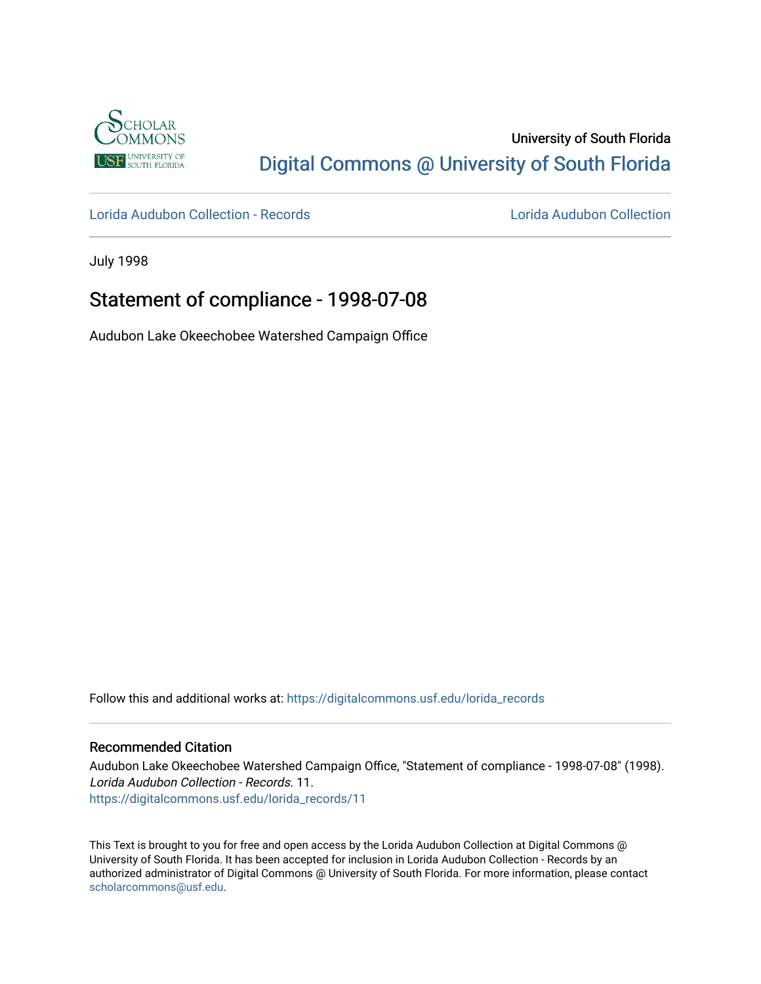

# University of South Florida [Digital Commons @ University of South Florida](https://digitalcommons.usf.edu/)

[Lorida Audubon Collection - Records](https://digitalcommons.usf.edu/lorida_records) [Lorida Audubon Collection](https://digitalcommons.usf.edu/lorida) 

July 1998

# Statement of compliance - 1998-07-08

Audubon Lake Okeechobee Watershed Campaign Office

Follow this and additional works at: [https://digitalcommons.usf.edu/lorida\\_records](https://digitalcommons.usf.edu/lorida_records?utm_source=digitalcommons.usf.edu%2Florida_records%2F11&utm_medium=PDF&utm_campaign=PDFCoverPages)

## Recommended Citation

Audubon Lake Okeechobee Watershed Campaign Office, "Statement of compliance - 1998-07-08" (1998). Lorida Audubon Collection - Records. 11. [https://digitalcommons.usf.edu/lorida\\_records/11](https://digitalcommons.usf.edu/lorida_records/11?utm_source=digitalcommons.usf.edu%2Florida_records%2F11&utm_medium=PDF&utm_campaign=PDFCoverPages) 

This Text is brought to you for free and open access by the Lorida Audubon Collection at Digital Commons @ University of South Florida. It has been accepted for inclusion in Lorida Audubon Collection - Records by an authorized administrator of Digital Commons @ University of South Florida. For more information, please contact [scholarcommons@usf.edu.](mailto:scholarcommons@usf.edu)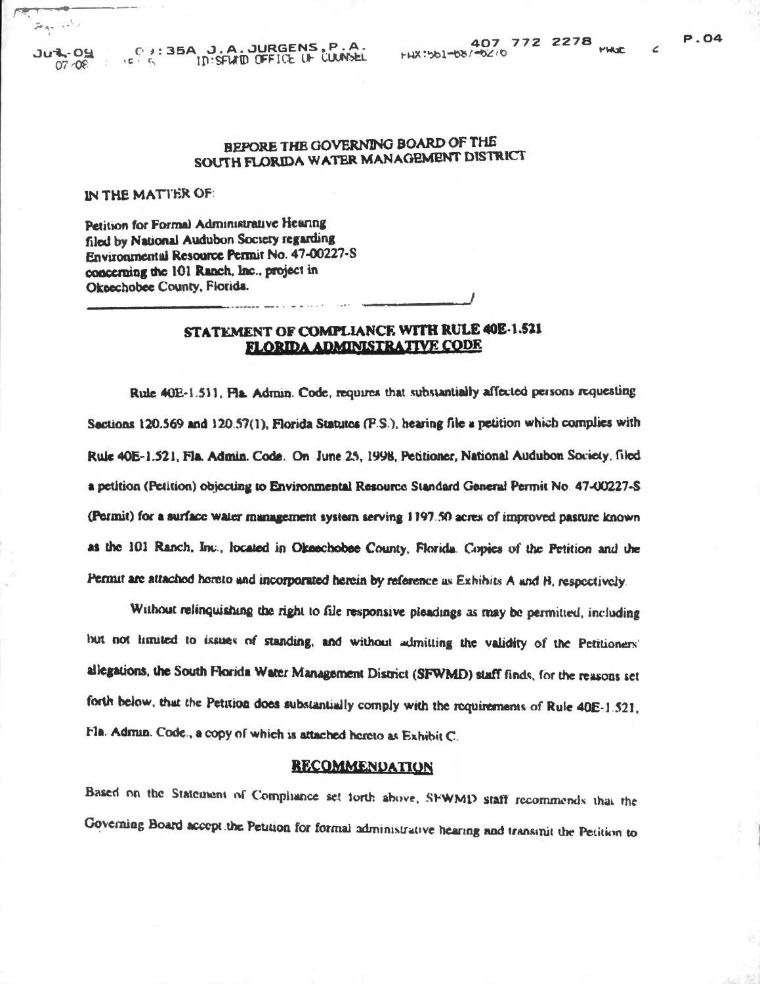$\epsilon$ 

## BEPORE THE GOVERNING BOARD OF THE SOUTH FLORIDA WATER MANAGEMENT DISTRICT

IN THE MATTER OF:

Petition for Formal Administrative Hearing filed by National Audubon Society regarding Environmental Resource Permit No. 47-00227-S concerning the 101 Ranch, Inc., project in Okeechobee County, Florida.

## STATEMENT OF COMPLIANCE WITH RULE 40E-1.521 **FLORIDA ADMINISTRATIVE CODE**

Rule 40E-1.511, Fla. Admin. Code, requires that substantially affected persons requesting Sections 120.569 and 120.57(1), Florida Statutes (F.S.), hearing file a petition which complies with Rule 40E-1.521, Fla. Admin. Code. On June 25, 1998, Petitioner, National Audubon Society, filed a petition (Petition) objecting to Environmental Resource Standard General Permit No. 47-00227-S (Permit) for a surface water management system serving 1197.50 acres of improved pasture known as the 101 Ranch, Inc., located in Okeechobee County, Florida. Copies of the Petition and the Permit are attached horeto and incorporated herein by reference as Exhibits A and B, respectively.

Without relinquishing the right to file responsive pleadings as may be permitted, including but not limited to issues of standing, and without admitting the validity of the Petitioners' allegations, the South Florida Water Management District (SFWMD) staff finds, for the reasons set forth below, that the Petition does substantially comply with the requirements of Rule 40E-1.521, Fla. Admin. Code., a copy of which is attached hereto as Exhibit C.

#### **RECOMMENDATION**

Based on the Statement of Compliance set forth above, SFWMD staff recommends that the Governing Board accept the Petition for formal administrative hearing and transmit the Petition to

 $\widehat{\mathcal{P}}^{\mathcal{E}}(a_{1},\ldots,\widehat{a}_{n})$